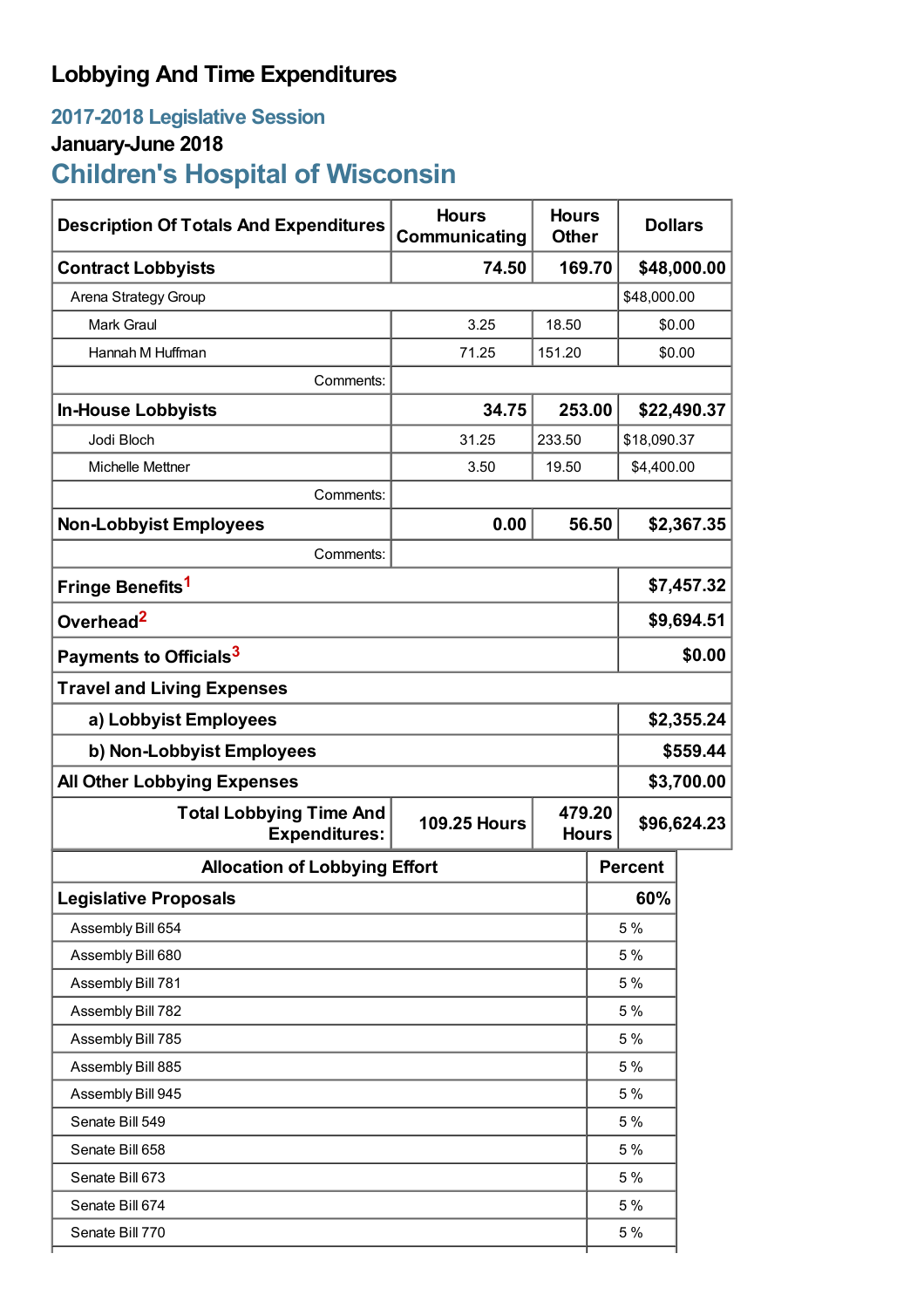### **Lobbying And Time Expenditures**

# **2017-2018 Legislative Session**

## **January-June 2018**

**Children's Hospital of Wisconsin**

| <b>Description Of Totals And Expenditures</b>          | <b>Hours</b><br>Communicating | <b>Hours</b><br><b>Dollars</b><br><b>Other</b> |                        |                |             |  |
|--------------------------------------------------------|-------------------------------|------------------------------------------------|------------------------|----------------|-------------|--|
| <b>Contract Lobbyists</b>                              | 74.50                         | 169.70                                         |                        | \$48,000.00    |             |  |
| Arena Strategy Group                                   |                               |                                                |                        | \$48,000.00    |             |  |
| <b>Mark Graul</b>                                      | 3.25                          | 18.50                                          |                        | \$0.00         |             |  |
| Hannah M Huffman                                       | 71.25                         | 151.20                                         |                        |                | \$0.00      |  |
| Comments:                                              |                               |                                                |                        |                |             |  |
| <b>In-House Lobbyists</b>                              | 34.75                         |                                                | 253.00                 |                | \$22,490.37 |  |
| Jodi Bloch                                             | 31.25                         | 233.50                                         | \$18,090.37            |                |             |  |
| Michelle Mettner                                       | 3.50                          | 19.50                                          | \$4,400.00             |                |             |  |
| Comments:                                              |                               |                                                |                        |                |             |  |
| <b>Non-Lobbyist Employees</b>                          | 0.00                          | 56.50                                          |                        |                | \$2,367.35  |  |
| Comments:                                              |                               |                                                |                        |                |             |  |
| Fringe Benefits <sup>1</sup>                           |                               |                                                |                        | \$7,457.32     |             |  |
| Overhead <sup>2</sup>                                  |                               |                                                |                        | \$9,694.51     |             |  |
| Payments to Officials <sup>3</sup>                     |                               |                                                |                        | \$0.00         |             |  |
| <b>Travel and Living Expenses</b>                      |                               |                                                |                        |                |             |  |
| a) Lobbyist Employees                                  |                               |                                                |                        | \$2,355.24     |             |  |
| b) Non-Lobbyist Employees                              |                               |                                                |                        | \$559.44       |             |  |
| <b>All Other Lobbying Expenses</b>                     |                               |                                                |                        | \$3,700.00     |             |  |
| <b>Total Lobbying Time And</b><br><b>Expenditures:</b> | <b>109.25 Hours</b>           |                                                | 479.20<br><b>Hours</b> |                | \$96,624.23 |  |
| <b>Allocation of Lobbying Effort</b>                   |                               |                                                |                        | <b>Percent</b> |             |  |
| <b>Legislative Proposals</b>                           |                               |                                                |                        | 60%            |             |  |
| Assembly Bill 654                                      |                               |                                                |                        | 5 %            |             |  |
| Assembly Bill 680                                      |                               |                                                | 5 %                    |                |             |  |
| Assembly Bill 781                                      |                               |                                                | 5 %                    |                |             |  |
| Assembly Bill 782                                      |                               |                                                | 5 %                    |                |             |  |
| Assembly Bill 785                                      |                               |                                                | 5 %                    |                |             |  |
| Assembly Bill 885                                      |                               |                                                |                        | 5 %            |             |  |
| Assembly Bill 945                                      |                               |                                                |                        | 5 %            |             |  |
| Senate Bill 549                                        |                               |                                                | 5 %                    |                |             |  |
| Senate Bill 658                                        |                               |                                                |                        | 5 %            |             |  |
| Senate Bill 673                                        |                               |                                                | 5 %                    |                |             |  |
| Senate Bill 674                                        |                               |                                                |                        | 5 %            |             |  |
| Senate Bill 770                                        |                               |                                                |                        | 5 %            |             |  |